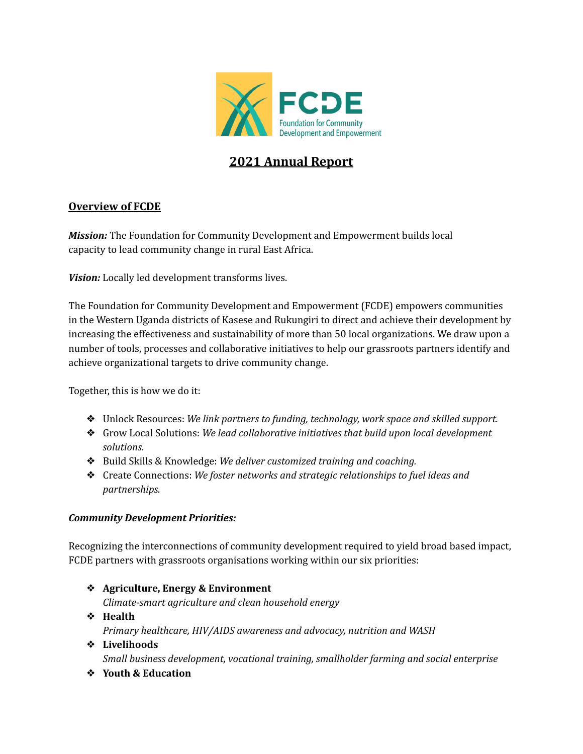

### **2021 Annual Report**

### **Overview of FCDE**

*Mission:* The Foundation for Community Development and Empowerment builds local capacity to lead community change in rural East Africa.

*Vision:* Locally led development transforms lives.

The Foundation for Community Development and Empowerment (FCDE) empowers communities in the Western Uganda districts of Kasese and Rukungiri to direct and achieve their development by increasing the effectiveness and sustainability of more than 50 local organizations. We draw upon a number of tools, processes and collaborative initiatives to help our grassroots partners identify and achieve organizational targets to drive community change.

Together, this is how we do it:

- ❖ Unlock Resources: *We link partners to funding, technology, work space and skilled support.*
- ❖ Grow Local Solutions: *We lead collaborative initiatives that build upon local development solutions.*
- ❖ Build Skills & Knowledge: *We deliver customized training and coaching.*
- ❖ Create Connections: *We foster networks and strategic relationships to fuel ideas and partnerships.*

### *Community Development Priorities:*

Recognizing the interconnections of community development required to yield broad based impact, FCDE partners with grassroots organisations working within our six priorities:

- ❖ **Agriculture, Energy & Environment** *Climate-smart agriculture and clean household energy* ❖ **Health**
	- *Primary healthcare, HIV/AIDS awareness and advocacy, nutrition and WASH*
- ❖ **Livelihoods** *Small business development, vocational training, smallholder farming and social enterprise*
- ❖ **Youth & Education**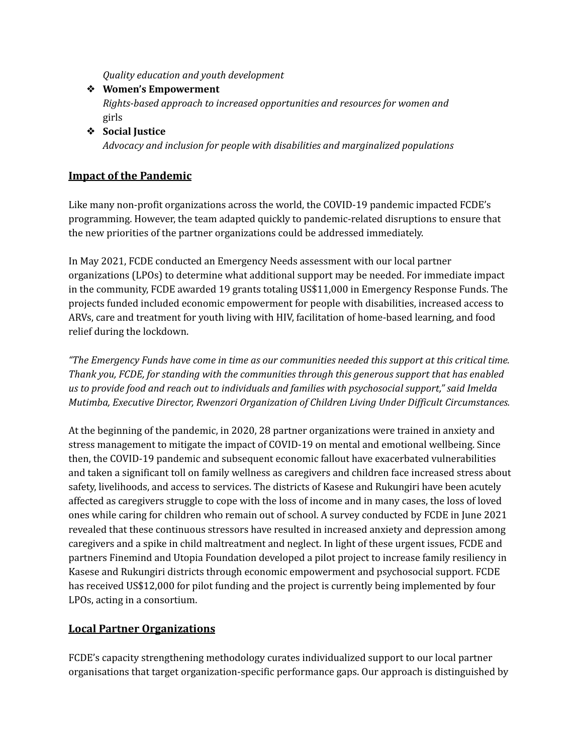*Quality education and youth development*

- ❖ **Women's Empowerment** *Rights-based approach to increased opportunities and resources for women and* girls
- ❖ **Social Justice** *Advocacy and inclusion for people with disabilities and marginalized populations*

### **Impact of the Pandemic**

Like many non-profit organizations across the world, the COVID-19 pandemic impacted FCDE's programming. However, the team adapted quickly to pandemic-related disruptions to ensure that the new priorities of the partner organizations could be addressed immediately.

In May 2021, FCDE conducted an Emergency Needs assessment with our local partner organizations (LPOs) to determine what additional support may be needed. For immediate impact in the community, FCDE awarded 19 grants totaling US\$11,000 in Emergency Response Funds. The projects funded included economic empowerment for people with disabilities, increased access to ARVs, care and treatment for youth living with HIV, facilitation of home-based learning, and food relief during the lockdown.

*"The Emergency Funds have come in time as our communities needed this support at this critical time. Thank you, FCDE, for standing with the communities through this generous support that has enabled us to provide food and reach out to individuals and families with psychosocial support," said Imelda Mutimba, Executive Director, Rwenzori Organization of Children Living Under Dif icult Circumstances.*

At the beginning of the pandemic, in 2020, 28 partner organizations were trained in anxiety and stress management to mitigate the impact of COVID-19 on mental and emotional wellbeing. Since then, the COVID-19 pandemic and subsequent economic fallout have exacerbated vulnerabilities and taken a significant toll on family wellness as caregivers and children face increased stress about safety, livelihoods, and access to services. The districts of Kasese and Rukungiri have been acutely affected as caregivers struggle to cope with the loss of income and in many cases, the loss of loved ones while caring for children who remain out of school. A survey conducted by FCDE in June 2021 revealed that these continuous stressors have resulted in increased anxiety and depression among caregivers and a spike in child maltreatment and neglect. In light of these urgent issues, FCDE and partners Finemind and Utopia Foundation developed a pilot project to increase family resiliency in Kasese and Rukungiri districts through economic empowerment and psychosocial support. FCDE has received US\$12,000 for pilot funding and the project is currently being implemented by four LPOs, acting in a consortium.

### **Local Partner Organizations**

FCDE's capacity strengthening methodology curates individualized support to our local partner organisations that target organization-specific performance gaps. Our approach is distinguished by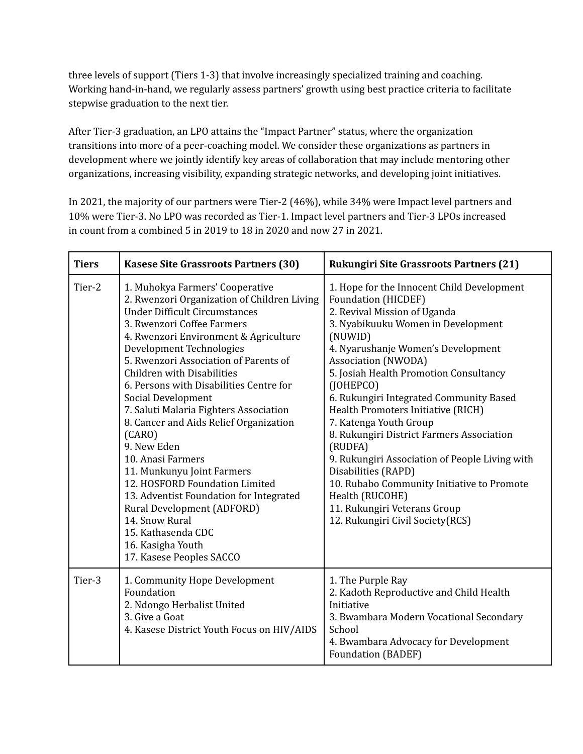three levels of support (Tiers 1-3) that involve increasingly specialized training and coaching. Working hand-in-hand, we regularly assess partners' growth using best practice criteria to facilitate stepwise graduation to the next tier.

After Tier-3 graduation, an LPO attains the "Impact Partner" status, where the organization transitions into more of a peer-coaching model. We consider these organizations as partners in development where we jointly identify key areas of collaboration that may include mentoring other organizations, increasing visibility, expanding strategic networks, and developing joint initiatives.

In 2021, the majority of our partners were Tier-2 (46%), while 34% were Impact level partners and 10% were Tier-3. No LPO was recorded as Tier-1. Impact level partners and Tier-3 LPOs increased in count from a combined 5 in 2019 to 18 in 2020 and now 27 in 2021.

| <b>Tiers</b> | <b>Kasese Site Grassroots Partners (30)</b>                                                                                                                                                                                                                                                                                                                                                                                                                                                                                                                                                                                                                                                                                           | <b>Rukungiri Site Grassroots Partners (21)</b>                                                                                                                                                                                                                                                                                                                                                                                                                                                                                                                                                                                                                        |
|--------------|---------------------------------------------------------------------------------------------------------------------------------------------------------------------------------------------------------------------------------------------------------------------------------------------------------------------------------------------------------------------------------------------------------------------------------------------------------------------------------------------------------------------------------------------------------------------------------------------------------------------------------------------------------------------------------------------------------------------------------------|-----------------------------------------------------------------------------------------------------------------------------------------------------------------------------------------------------------------------------------------------------------------------------------------------------------------------------------------------------------------------------------------------------------------------------------------------------------------------------------------------------------------------------------------------------------------------------------------------------------------------------------------------------------------------|
| Tier-2       | 1. Muhokya Farmers' Cooperative<br>2. Rwenzori Organization of Children Living<br><b>Under Difficult Circumstances</b><br>3. Rwenzori Coffee Farmers<br>4. Rwenzori Environment & Agriculture<br>Development Technologies<br>5. Rwenzori Association of Parents of<br>Children with Disabilities<br>6. Persons with Disabilities Centre for<br>Social Development<br>7. Saluti Malaria Fighters Association<br>8. Cancer and Aids Relief Organization<br>(CARO)<br>9. New Eden<br>10. Anasi Farmers<br>11. Munkunyu Joint Farmers<br>12. HOSFORD Foundation Limited<br>13. Adventist Foundation for Integrated<br>Rural Development (ADFORD)<br>14. Snow Rural<br>15. Kathasenda CDC<br>16. Kasigha Youth<br>17. Kasese Peoples SACCO | 1. Hope for the Innocent Child Development<br><b>Foundation (HICDEF)</b><br>2. Revival Mission of Uganda<br>3. Nyabikuuku Women in Development<br>(NUWID)<br>4. Nyarushanje Women's Development<br><b>Association (NWODA)</b><br>5. Josiah Health Promotion Consultancy<br>(JOHEPCO)<br>6. Rukungiri Integrated Community Based<br>Health Promoters Initiative (RICH)<br>7. Katenga Youth Group<br>8. Rukungiri District Farmers Association<br>(RUDFA)<br>9. Rukungiri Association of People Living with<br>Disabilities (RAPD)<br>10. Rubabo Community Initiative to Promote<br>Health (RUCOHE)<br>11. Rukungiri Veterans Group<br>12. Rukungiri Civil Society(RCS) |
| Tier-3       | 1. Community Hope Development<br>Foundation<br>2. Ndongo Herbalist United<br>3. Give a Goat<br>4. Kasese District Youth Focus on HIV/AIDS                                                                                                                                                                                                                                                                                                                                                                                                                                                                                                                                                                                             | 1. The Purple Ray<br>2. Kadoth Reproductive and Child Health<br>Initiative<br>3. Bwambara Modern Vocational Secondary<br>School<br>4. Bwambara Advocacy for Development<br><b>Foundation (BADEF)</b>                                                                                                                                                                                                                                                                                                                                                                                                                                                                  |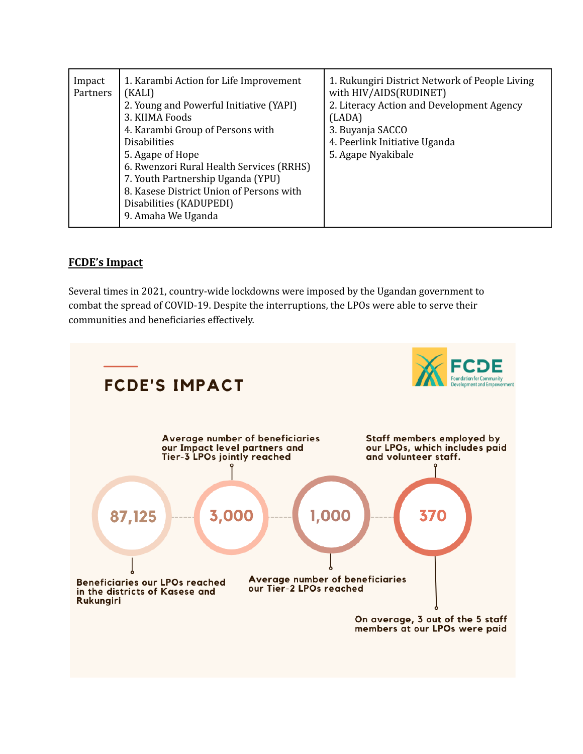| Impact<br>Partners | 1. Karambi Action for Life Improvement<br>(KALI)<br>2. Young and Powerful Initiative (YAPI)<br>3. KIIMA Foods<br>4. Karambi Group of Persons with<br><b>Disabilities</b><br>5. Agape of Hope<br>6. Rwenzori Rural Health Services (RRHS)<br>7. Youth Partnership Uganda (YPU)<br>8. Kasese District Union of Persons with<br>Disabilities (KADUPEDI)<br>9. Amaha We Uganda | 1. Rukungiri District Network of People Living<br>with HIV/AIDS(RUDINET)<br>2. Literacy Action and Development Agency<br>(LADA)<br>3. Buyanja SACCO<br>4. Peerlink Initiative Uganda<br>5. Agape Nyakibale |
|--------------------|----------------------------------------------------------------------------------------------------------------------------------------------------------------------------------------------------------------------------------------------------------------------------------------------------------------------------------------------------------------------------|------------------------------------------------------------------------------------------------------------------------------------------------------------------------------------------------------------|
|--------------------|----------------------------------------------------------------------------------------------------------------------------------------------------------------------------------------------------------------------------------------------------------------------------------------------------------------------------------------------------------------------------|------------------------------------------------------------------------------------------------------------------------------------------------------------------------------------------------------------|

### **FCDE's Impact**

Several times in 2021, country-wide lockdowns were imposed by the Ugandan government to combat the spread of COVID-19. Despite the interruptions, the LPOs were able to serve their communities and beneficiaries effectively.

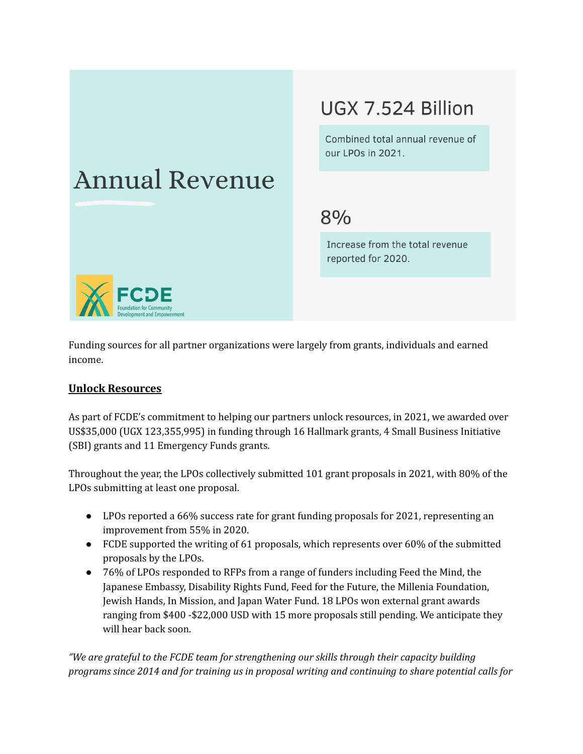# **Annual Revenue**

## UGX 7.524 Billion

Combined total annual revenue of our LPOs in 2021.

### $8%$

Increase from the total revenue reported for 2020.



Funding sources for all partner organizations were largely from grants, individuals and earned income.

### **Unlock Resources**

As part of FCDE's commitment to helping our partners unlock resources, in 2021, we awarded over US\$35,000 (UGX 123,355,995) in funding through 16 Hallmark grants, 4 Small Business Initiative (SBI) grants and 11 Emergency Funds grants.

Throughout the year, the LPOs collectively submitted 101 grant proposals in 2021, with 80% of the LPOs submitting at least one proposal.

- LPOs reported a 66% success rate for grant funding proposals for 2021, representing an improvement from 55% in 2020.
- FCDE supported the writing of 61 proposals, which represents over 60% of the submitted proposals by the LPOs.
- 76% of LPOs responded to RFPs from a range of funders including Feed the Mind, the Japanese Embassy, Disability Rights Fund, Feed for the Future, the Millenia Foundation, Jewish Hands, In Mission, and Japan Water Fund. 18 LPOs won external grant awards ranging from \$400 -\$22,000 USD with 15 more proposals still pending. We anticipate they will hear back soon.

*"We are grateful to the FCDE team for strengthening our skills through their capacity building programs since 2014 and for training us in proposal writing and continuing to share potential calls for*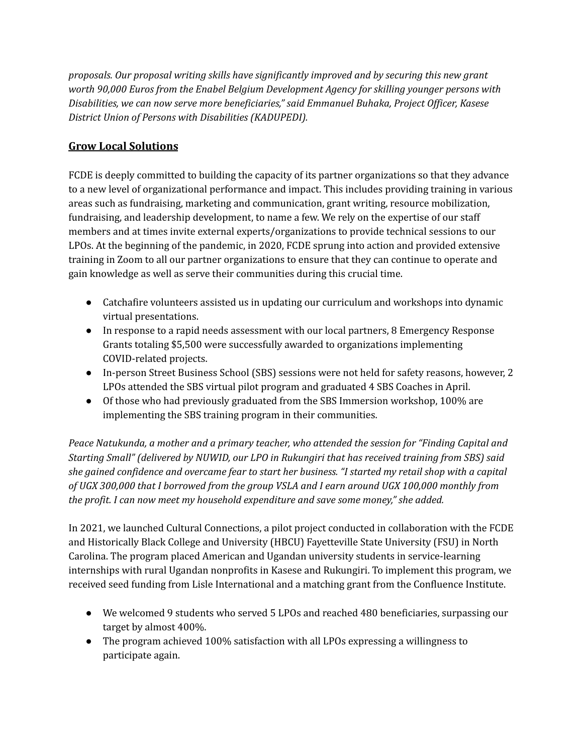*proposals. Our proposal writing skills have significantly improved and by securing this new grant worth 90,000 Euros from the Enabel Belgium Development Agency for skilling younger persons with Disabilities, we can now serve more beneficiaries," said Emmanuel Buhaka, Project Of icer, Kasese District Union of Persons with Disabilities (KADUPEDI).*

### **Grow Local Solutions**

FCDE is deeply committed to building the capacity of its partner organizations so that they advance to a new level of organizational performance and impact. This includes providing training in various areas such as fundraising, marketing and communication, grant writing, resource mobilization, fundraising, and leadership development, to name a few. We rely on the expertise of our staff members and at times invite external experts/organizations to provide technical sessions to our LPOs. At the beginning of the pandemic, in 2020, FCDE sprung into action and provided extensive training in Zoom to all our partner organizations to ensure that they can continue to operate and gain knowledge as well as serve their communities during this crucial time.

- Catchafire volunteers assisted us in updating our curriculum and workshops into dynamic virtual presentations.
- In response to a rapid needs assessment with our local partners, 8 Emergency Response Grants totaling \$5,500 were successfully awarded to organizations implementing COVID-related projects.
- In-person Street Business School (SBS) sessions were not held for safety reasons, however, 2 LPOs attended the SBS virtual pilot program and graduated 4 SBS Coaches in April.
- Of those who had previously graduated from the SBS Immersion workshop, 100% are implementing the SBS training program in their communities.

*Peace Natukunda, a mother and a primary teacher, who attended the session for "Finding Capital and Starting Small" (delivered by NUWID, our LPO in Rukungiri that has received training from SBS) said* she gained confidence and overcame fear to start her business. "I started my retail shop with a capital *of UGX 300,000 that I borrowed from the group VSLA and I earn around UGX 100,000 monthly from the profit. I can now meet my household expenditure and save some money," she added.*

In 2021, we launched Cultural Connections, a pilot project conducted in collaboration with the FCDE and Historically Black College and University (HBCU) Fayetteville State University (FSU) in North Carolina. The program placed American and Ugandan university students in service-learning internships with rural Ugandan nonprofits in Kasese and Rukungiri. To implement this program, we received seed funding from Lisle International and a matching grant from the Confluence Institute.

- We welcomed 9 students who served 5 LPOs and reached 480 beneficiaries, surpassing our target by almost 400%.
- The program achieved 100% satisfaction with all LPOs expressing a willingness to participate again.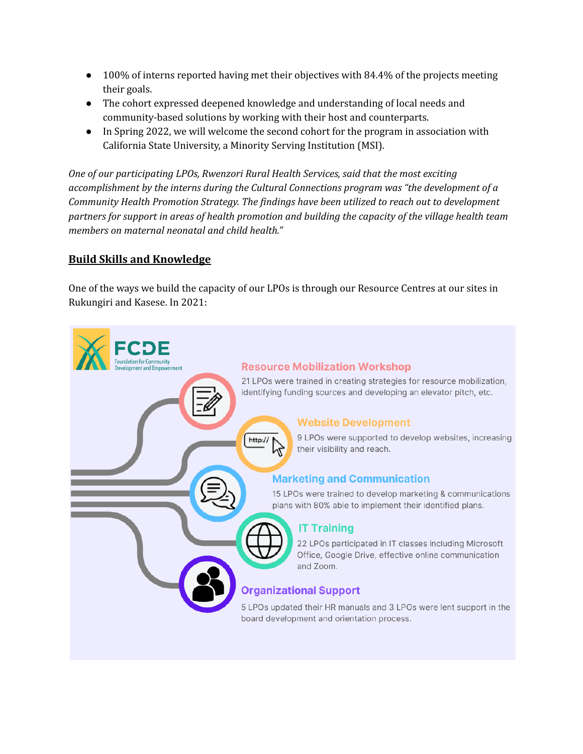- 100% of interns reported having met their objectives with 84.4% of the projects meeting their goals.
- The cohort expressed deepened knowledge and understanding of local needs and community-based solutions by working with their host and counterparts.
- In Spring 2022, we will welcome the second cohort for the program in association with California State University, a Minority Serving Institution (MSI).

*One of our participating LPOs, Rwenzori Rural Health Services, said that the most exciting accomplishment by the interns during the Cultural Connections program was "the development of a Community Health Promotion Strategy. The findings have been utilized to reach out to development partners for support in areas of health promotion and building the capacity of the village health team members on maternal neonatal and child health."*

### **Build Skills and Knowledge**

One of the ways we build the capacity of our LPOs is through our Resource Centres at our sites in Rukungiri and Kasese. In 2021:

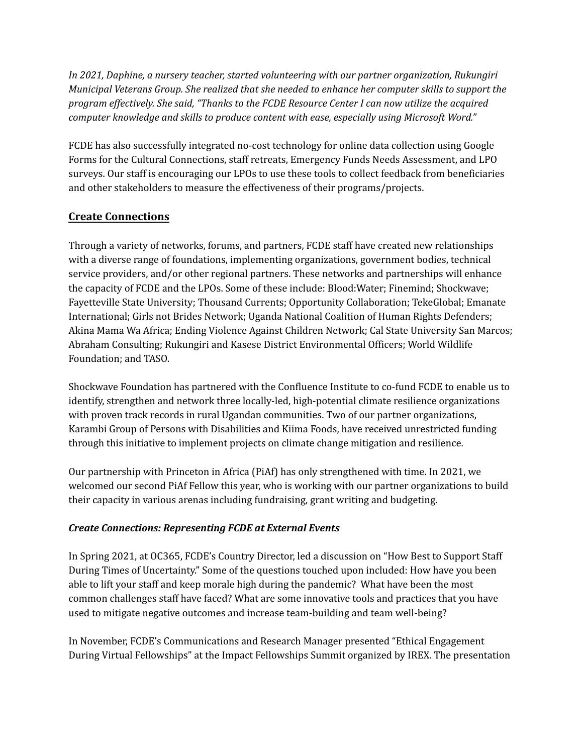*In 2021, Daphine, a nursery teacher, started volunteering with our partner organization, Rukungiri Municipal Veterans Group. She realized that she needed to enhance her computer skills to support the program ef ectively. She said, "Thanks to the FCDE Resource Center I can now utilize the acquired computer knowledge and skills to produce content with ease, especially using Microsoft Word."*

FCDE has also successfully integrated no-cost technology for online data collection using Google Forms for the Cultural Connections, staff retreats, Emergency Funds Needs Assessment, and LPO surveys. Our staff is encouraging our LPOs to use these tools to collect feedback from beneficiaries and other stakeholders to measure the effectiveness of their programs/projects.

### **Create Connections**

Through a variety of networks, forums, and partners, FCDE staff have created new relationships with a diverse range of foundations, implementing organizations, government bodies, technical service providers, and/or other regional partners. These networks and partnerships will enhance the capacity of FCDE and the LPOs. Some of these include: Blood:Water; Finemind; Shockwave; Fayetteville State University; Thousand Currents; Opportunity Collaboration; TekeGlobal; Emanate International; Girls not Brides Network; Uganda National Coalition of Human Rights Defenders; Akina Mama Wa Africa; Ending Violence Against Children Network; Cal State University San Marcos; Abraham Consulting; Rukungiri and Kasese District Environmental Officers; World Wildlife Foundation; and TASO.

Shockwave Foundation has partnered with the Confluence Institute to co-fund FCDE to enable us to identify, strengthen and network three locally-led, high-potential climate resilience organizations with proven track records in rural Ugandan communities. Two of our partner organizations, Karambi Group of Persons with Disabilities and Kiima Foods, have received unrestricted funding through this initiative to implement projects on climate change mitigation and resilience.

Our partnership with Princeton in Africa (PiAf) has only strengthened with time. In 2021, we welcomed our second PiAf Fellow this year, who is working with our partner organizations to build their capacity in various arenas including fundraising, grant writing and budgeting.

### *Create Connections: Representing FCDE at External Events*

In Spring 2021, at OC365, FCDE's Country Director, led a discussion on "How Best to Support Staff During Times of Uncertainty." Some of the questions touched upon included: How have you been able to lift your staff and keep morale high during the pandemic? What have been the most common challenges staff have faced? What are some innovative tools and practices that you have used to mitigate negative outcomes and increase team-building and team well-being?

In November, FCDE's Communications and Research Manager presented "Ethical Engagement During Virtual Fellowships" at the Impact Fellowships Summit organized by IREX. The presentation